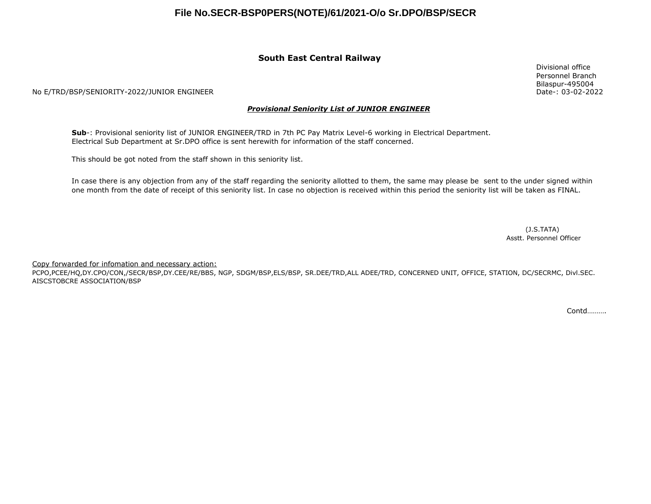## **File No.SECR-BSP0PERS(NOTE)/61/2021-O/o Sr.DPO/BSP/SECR**

### **South East Central Railway**

#### No E/TRD/BSP/SENIORITY-2022/JUNIOR ENGINEER

#### *Provisional Seniority List of JUNIOR ENGINEER*

**Sub**-: Provisional seniority list of JUNIOR ENGINEER/TRD in 7th PC Pay Matrix Level-6 working in Electrical Department. Electrical Sub Department at Sr.DPO office is sent herewith for information of the staff concerned.

This should be got noted from the staff shown in this seniority list.

In case there is any objection from any of the staff regarding the seniority allotted to them, the same may please be sent to the under signed within one month from the date of receipt of this seniority list. In case no objection is received within this period the seniority list will be taken as FINAL.

> Asstt. Personnel Officer (J.S.TATA)

#### Copy forwarded for infomation and necessary action:

PCPO,PCEE/HQ,DY.CPO/CON,/SECR/BSP,DY.CEE/RE/BBS, NGP, SDGM/BSP,ELS/BSP, SR.DEE/TRD,ALL ADEE/TRD, CONCERNED UNIT, OFFICE, STATION, DC/SECRMC, Divl.SEC. AISCSTOBCRE ASSOCIATION/BSP

Contd……….

Divisional office Personnel Branch Bilaspur-495004 Date-: 03-02-2022